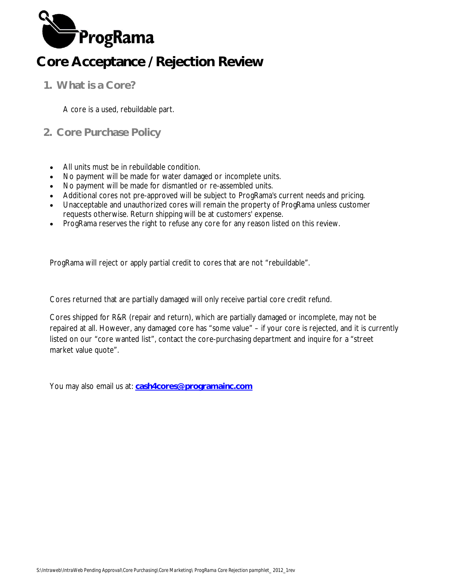

**1. What is a Core?**

A core is a used, rebuildable part.

- **2. Core Purchase Policy**
	- All units must be in rebuildable condition.
	- No payment will be made for water damaged or incomplete units.
	- No payment will be made for dismantled or re-assembled units.
	- Additional cores not pre-approved will be subject to ProgRama's current needs and pricing.
	- Unacceptable and unauthorized cores will remain the property of ProgRama unless customer requests otherwise. Return shipping will be at customers' expense.
	- ProgRama reserves the right to refuse any core for any reason listed on this review.

ProgRama will reject or apply partial credit to cores that are not "rebuildable".

Cores returned that are partially damaged will only receive partial core credit refund.

Cores shipped for R&R (repair and return), which are partially damaged or incomplete, may not be repaired at all. However, any damaged core has "some value" – if your core is rejected, and it is currently listed on our "core wanted list", contact the core-purchasing department and inquire for a "street market value quote".

You may also email us at: **cash4cores@programainc.com**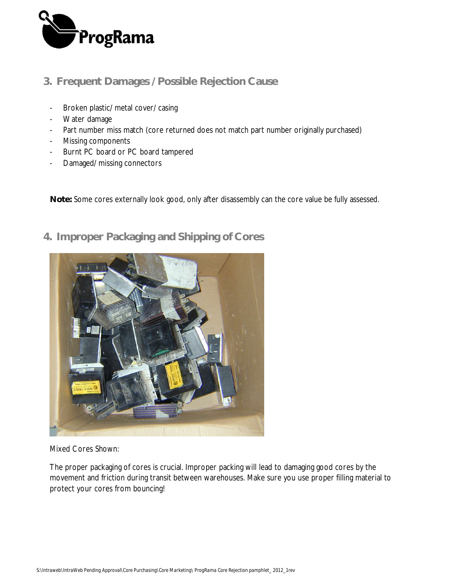

## **3. Frequent Damages / Possible Rejection Cause**

- Broken plastic/ metal cover/ casing
- Water damage
- Part number miss match (core returned does not match part number originally purchased)
- Missing components
- Burnt PC board or PC board tampered
- Damaged/ missing connectors

**Note:** Some cores externally look good, only after disassembly can the core value be fully assessed.



**4. Improper Packaging and Shipping of Cores**

Mixed Cores Shown:

The proper packaging of cores is crucial. Improper packing will lead to damaging good cores by the movement and friction during transit between warehouses. Make sure you use proper filling material to protect your cores from bouncing!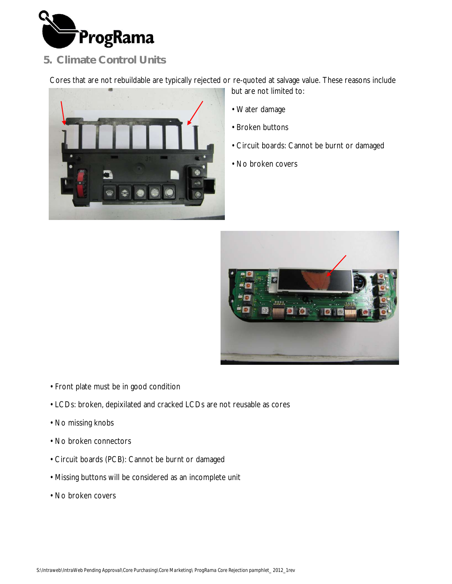

## **5. Climate Control Units**

Cores that are not rebuildable are typically rejected or re-quoted at salvage value. These reasons include



but are not limited to:

- Water damage
- Broken buttons
- Circuit boards: Cannot be burnt or damaged
- No broken covers



- Front plate must be in good condition
- LCDs: broken, depixilated and cracked LCDs are not reusable as cores
- No missing knobs
- No broken connectors
- Circuit boards (PCB): Cannot be burnt or damaged
- Missing buttons will be considered as an incomplete unit
- No broken covers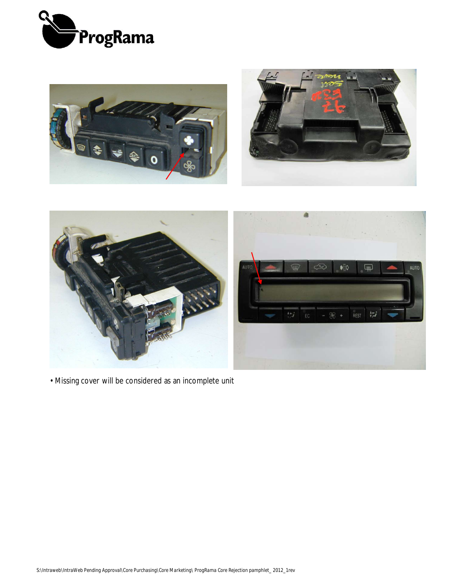





• Missing cover will be considered as an incomplete unit